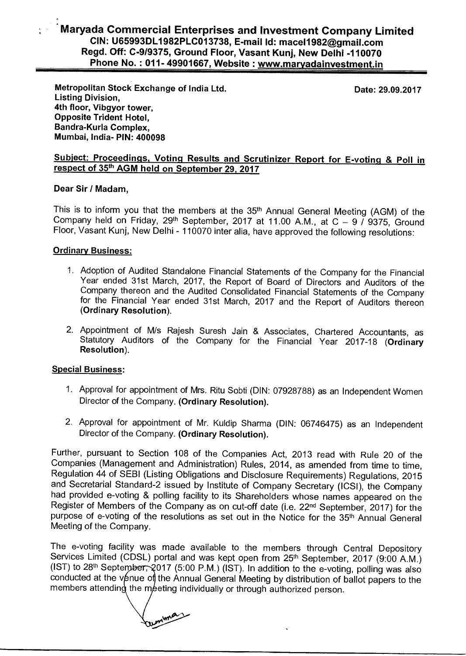## Maryada Commercial Enterprises and Investment Company Limited<br>
CIN: U65993DL1982PLC013738, E-mail Id: macel1982@gmail.com<br>
Regd. Off: C-9/9375, Ground Floor, Vasant Kunj, New Delhi -110070<br>
Phone No. : 011- 49901667, Websi **CIN: U65993DL1982PLC013738, E-mail Id: mace11982@gmail.com Regd. Off: C-9/9375, Ground Floor, Vasant Kunj, New Delhi -110070**

**Metropolitan Stock Exchange of India Ltd. Listing Division, 4th floor, Vibgyor tower, Opposite Trident Hotel, Bandra-Kurla Complex, Mumbai, India- PIN: 400098** 

**Date: 29.09.2017** 

### **Subject: Proceedings, Voting Results and Scrutinizer Report for E-votinq & Poll in respect of 35th AGM held on September 29, 2017**

#### **Dear Sir / Madam,**

This is to inform you that the members at the 35<sup>th</sup> Annual General Meeting (AGM) of the Company held on Friday,  $29<sup>th</sup>$  September, 2017 at 11.00 A.M., at C  $-$  9 / 9375, Ground Floor, Vasant Kunj, New Delhi - 110070 inter alia, have approved the following resolutions:

#### **Ordinary Business:**

- 1. Adoption of Audited Standalone Financial Statements of the Company for the Financial Year ended 31st March, 2017, the Report of Board of Directors and Auditors of the Company thereon and the Audited Consolidated Financial Statements of the Company for the Financial Year ended 31st March, 2017 and the Report of Auditors thereon **(Ordinary Resolution).**
- 2. Appointment of M/s Rajesh Suresh Jain & Associates, Chartered Accountants, as Statutory Auditors of the Company for the Financial Year 2017-18 **(Ordinary Resolution).**

### **Special Business:**

- 1. Approval for appointment of Mrs. Ritu Sobti (DIN: 07928788) as an Independent Women Director of the Company. **(Ordinary Resolution).**
- 2. Approval for appointment of Mr. Kuldip Sharma (DIN: 06746475) as an Independent Director of the Company. **(Ordinary Resolution).**

Further, pursuant to Section 108 of the Companies Act, 2013 read with Rule 20 of the Companies (Management and Administration) Rules, 2014, as amended from time to time, Regulation 44 of SEBI (Listing Obligations and Disclosure Requirements) Regulations, 2015 and Secretarial Standard-2 issued by Institute of Company Secretary (ICSI), the Company had provided e-voting & polling facility to its Shareholders whose names appeared on the Register of Members of the Company as on cut-off date (i.e. 22<sup>nd</sup> September, 2017) for the purpose of e-voting of the resolutions as set out in the Notice for the 35<sup>th</sup> Annual General Meeting of the Company.

The e-voting facility was made available to the members through Central Depository Services Limited (CDSL) portal and was kept open from 25<sup>th</sup> September, 2017 (9:00 A.M.) (IST) to 28<sup>th</sup> September, 2017 (5:00 P.M.) (IST). In addition to the e-voting, polling was also conducted at the venue of the Annual General Meeting by distribution of ballot papers to the members attending the meeting individually or through authorized person.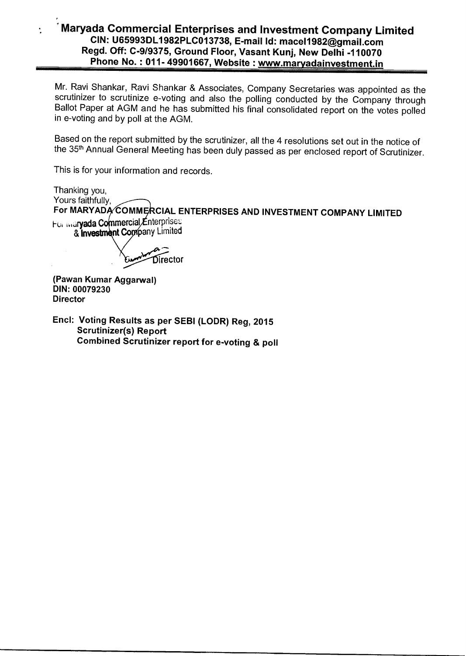## Maryada Commercial Enterprises and Investment Company Limited<br>
CIN: U65993DL1982PLC013738, E-mail Id: macel1982@gmail.com<br>
Regd. Off: C-9/9375, Ground Floor, Vasant Kunj, New Delhi -110070<br>
Phone No. : 011- 49901667, Websi **CIN: U65993DL1982PLC013738, E-mail Id: mace11982@gmail.com Regd. Off: C-9/9375, Ground Floor, Vasant Kunj, New Delhi -110070**

Mr. Ravi Shankar, Ravi Shankar & Associates, Company Secretaries was appointed as the scrutinizer to scrutinize e-voting and also the polling conducted by the Company through Ballot Paper at AGM and he has submitted his final consolidated report on the votes polled in e-voting and by poll at the AGM.

Based on the report submitted by the scrutinizer, all the 4 resolutions set out in the notice of the 35<sup>th</sup> Annual General Meeting has been duly passed as per enclosed report of Scrutinizer.

This is for your information and records.

Thanking you, Yours faithfully, For MARYADA COMMERCIAL ENTERPRISES AND INVESTMENT COMPANY LIMITED

For *indryada Commercial* Enterprises & **Investment Company Limited** 

Director

**(Pawan Kumar Aggarwal) DIN: 00079230 Director** 

÷.

**Encl: Voting Results as per SEBI (LODR) Reg, 2015 Scrutinizer(s) Report Combined Scrutinizer report for e-voting & poll**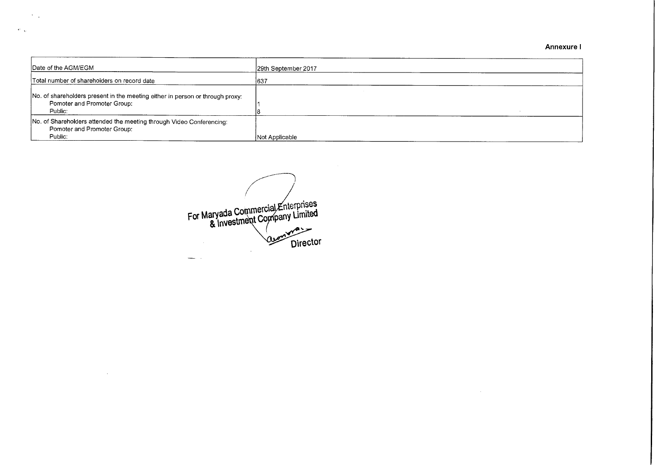**Annexure I** 

 $\sim 10^{11}$  km  $^{-1}$ 

| Date of the AGM/EGM                                                                                                     | 29th September 2017 |
|-------------------------------------------------------------------------------------------------------------------------|---------------------|
| Total number of shareholders on record date                                                                             | 637                 |
| No. of shareholders present in the meeting either in person or through proxy:<br>Pomoter and Promoter Group:<br>Public: |                     |
| No. of Shareholders attended the meeting through Video Conferencing:<br>Pomoter and Promoter Group:<br>Public:          | Not Applicable      |

For Maryada Com & Investmen nterprises <sub>pany</sub> Limited Director

 $\Delta \sim 10$ 

 $\sim 10^7$ 

 $\mathbf{e}_{\text{max}}$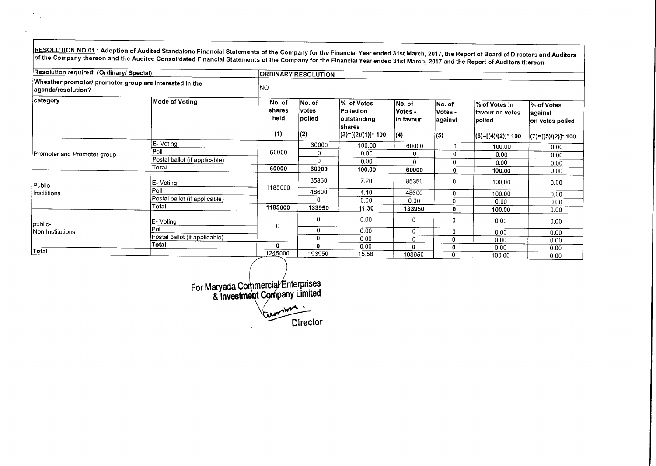RESOLUTION NO.01 : Adoption of Audited Standalone Financial Statements of the Company for the Financial Year ended 31st March, 2017, the Report of Board of Directors and Auditors Consolidations of the Consolidated Financial Statements of the Company for the Financial Year ended 31st March, 2017 and the Report of Auditors thereon of the Company tor the Financial Year ended 31st March, 2017 and the R

| Resolution required: (Ordinary/ Special)                                      |                               | <b>ORDINARY RESOLUTION</b>      |                                           |                                                           |                                 |                               |                                              |                                            |  |  |
|-------------------------------------------------------------------------------|-------------------------------|---------------------------------|-------------------------------------------|-----------------------------------------------------------|---------------------------------|-------------------------------|----------------------------------------------|--------------------------------------------|--|--|
| Wheather promoter/ promoter group are interested in the<br>agenda/resolution? |                               | INO.                            |                                           |                                                           |                                 |                               |                                              |                                            |  |  |
| category                                                                      | Mode of Voting                | No. of<br>shares<br>held<br>(1) | No. of<br><b>votes</b><br> polled<br> (2) | <b>%</b> of Votes<br>Polled on<br>outstanding <br>Ishares | No. of<br>Votes -<br>∣in favour | No. of<br>Votes -<br>∣against | % of Votes in<br>lfavour on votes<br>∣polled | l% of Votes<br> against<br>on votes polled |  |  |
|                                                                               |                               |                                 |                                           | (3)=[(2)/(1)]* 100                                        | (4)                             | (5)                           | (6)=[(4)/(2)]* 100                           | (7)=[(5)/(2)]* 100                         |  |  |
|                                                                               | E-Voting                      |                                 | 60000                                     | 100.00                                                    | 60000                           | 0                             | 100.00                                       | 0.00                                       |  |  |
| Promoter and Promoter group                                                   | Poll                          | 60000                           | 0                                         | 0.00                                                      | 0                               | 0                             | 0.00                                         | 0.00                                       |  |  |
|                                                                               | Postal ballot (if applicable) |                                 | U                                         | 0.00                                                      | $\Omega$                        | 0                             | 0.00                                         | 0.00                                       |  |  |
|                                                                               | Total                         | 60000                           | 60000                                     | 100.00                                                    | 60000                           | 0                             | 100.00                                       | 0.00                                       |  |  |
| Public -                                                                      | ∣E- Voting                    | 1185000                         | 85350                                     | 7.20                                                      | 85350                           | 0                             | 100.00                                       | 0.00                                       |  |  |
| Instititions                                                                  | Poll                          |                                 | 48600                                     | 4.10                                                      | 48600                           | 0                             | 100.00                                       | 0.00                                       |  |  |
|                                                                               | Postal ballot (if applicable) |                                 | 0                                         | 0.00                                                      | 0.00                            | 0                             | 0.00                                         | 0.00                                       |  |  |
|                                                                               | Total                         | 1185000                         | 133950                                    | 11.30                                                     | 133950                          | 0                             | 100.00                                       | 0.00                                       |  |  |
| public-                                                                       | IE- Votina                    | $\mathbf 0$                     | 0                                         | 0.00                                                      | 0                               | 0                             | 0.00                                         | 0.00                                       |  |  |
| Non Institutions                                                              | Poll                          |                                 | 0                                         | 0.00                                                      | 0                               | 0                             | 0.00                                         | 0.00                                       |  |  |
|                                                                               | Postal ballot (if applicable) |                                 | $\Omega$                                  | 0.00                                                      | 0                               | 0                             | 0.00                                         | 0.00                                       |  |  |
|                                                                               | Total                         | $\mathbf 0$                     | 0                                         | 0.00                                                      | $\Omega$                        | 0                             | 0.00                                         | 0.00                                       |  |  |
| Total                                                                         |                               | 1245000                         | 193950                                    | 15.58                                                     | 193950                          | 0                             | 100.00                                       | 0.00                                       |  |  |

nterprises For Maryada Co pany Limited & lnvestme Comma ,  $\mathcal{L}_{\mathcal{L}}$ س Director

 $\mathcal{M}$  $\sim$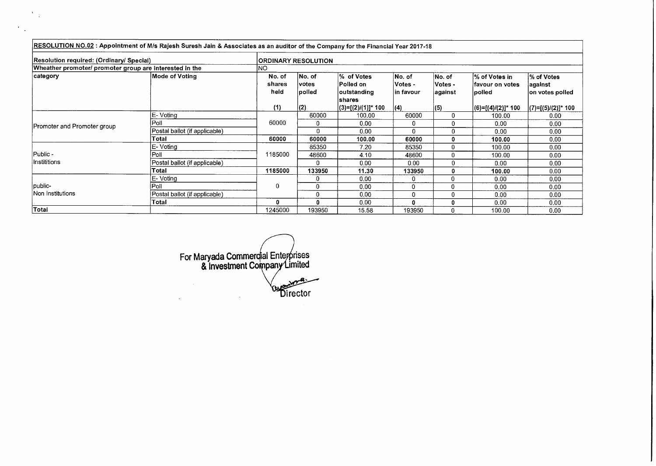|                                                         | RESOLUTION NO.02: Appointment of M/s Rajesh Suresh Jain & Associates as an auditor of the Company for the Financial Year 2017-18 |                          |                            |                                                                |                                 |                              |                                               |                                           |
|---------------------------------------------------------|----------------------------------------------------------------------------------------------------------------------------------|--------------------------|----------------------------|----------------------------------------------------------------|---------------------------------|------------------------------|-----------------------------------------------|-------------------------------------------|
| Resolution required: (Ordinary/ Special)                |                                                                                                                                  |                          | <b>ORDINARY RESOLUTION</b> |                                                                |                                 |                              |                                               |                                           |
| Wheather promoter/ promoter group are interested in the |                                                                                                                                  | INO.                     |                            |                                                                |                                 |                              |                                               |                                           |
| ∣category                                               | Mode of Voting                                                                                                                   | No. of<br>shares<br>held | No. of<br>votes<br> polled | % of Votes<br><b>Polled on</b><br>outstanding<br><b>shares</b> | No. of<br>Votes -<br>lin favour | No. of<br>Votes -<br>against | l% of Votes in<br>lfavour on votes<br>lpolled | % of Votes<br>∣against<br>on votes polled |
|                                                         |                                                                                                                                  | (1)                      | (2)                        | (3)=[(2)/(1)]* 100                                             | (4)                             | (5)                          | (6)=[(4)/(2)]* 100                            | (7)=[(5)/(2)]* 100                        |
|                                                         | E-Voting                                                                                                                         |                          | 60000                      | 100.00                                                         | 60000                           | 0                            | 100.00                                        | 0.00                                      |
| Promoter and Promoter group                             | Poll                                                                                                                             | 60000                    | 0                          | 0.00                                                           | 0                               | 0                            | 0.00                                          | 0.00                                      |
|                                                         | Postal ballot (if applicable)                                                                                                    |                          | Û                          | 0.00                                                           | U                               | 0                            | 0.00                                          | 0.00                                      |
|                                                         | Total                                                                                                                            | 60000                    | 60000                      | 100.00                                                         | 60000                           | 0                            | 100.00                                        | 0.00                                      |
|                                                         | E-Voting                                                                                                                         |                          | 85350                      | 7.20                                                           | 85350                           | 0                            | 100.00                                        | 0.00                                      |
| Public -                                                | Poll                                                                                                                             | 1185000                  | 48600                      | 4.10                                                           | 48600                           | $\Omega$                     | 100.00                                        | 0.00                                      |
| Instititions                                            | Postal ballot (if applicable)                                                                                                    |                          | $\mathbf{r}$               | 0.00                                                           | 0.00                            | 0                            | 0.00                                          | 0.00                                      |
|                                                         | Total                                                                                                                            | 1185000                  | 133950                     | 11.30                                                          | 133950                          | 0                            | 100.00                                        | 0.00                                      |
|                                                         | E-Voting                                                                                                                         |                          |                            | 0.00                                                           | 0                               | 0                            | 0.00                                          | 0.00                                      |
| public-                                                 | Poll                                                                                                                             | 0                        | $\Omega$                   | 0.00                                                           | 0                               | 0                            | 0.00                                          | 0.00                                      |
| Non Institutions                                        | Postal ballot (if applicable)                                                                                                    |                          | $\Omega$                   | 0.00                                                           | 0                               | $\Omega$                     | 0.00                                          | 0.00                                      |
|                                                         | Total                                                                                                                            | 0                        | Ω                          | 0.00                                                           | n                               | 0                            | 0.00                                          | 0.00                                      |
| Total                                                   |                                                                                                                                  | 1245000                  | 193950                     | 15.58                                                          | 193950                          | 0                            | 100.00                                        | 0.00                                      |

rises ial Ente*y* For Maryada Commer imited pan & Investment Cor  $\label{eq:2} \frac{1}{\sqrt{2}}\sum_{i=1}^n\frac{1}{\sqrt{2}}\sum_{j=1}^n\frac{1}{j!}\sum_{j=1}^n\frac{1}{j!}\sum_{j=1}^n\frac{1}{j!}\sum_{j=1}^n\frac{1}{j!}\sum_{j=1}^n\frac{1}{j!}\sum_{j=1}^n\frac{1}{j!}\sum_{j=1}^n\frac{1}{j!}\sum_{j=1}^n\frac{1}{j!}\sum_{j=1}^n\frac{1}{j!}\sum_{j=1}^n\frac{1}{j!}\sum_{j=1}^n\frac{1}{j!}\sum_{j=1}^$ wra`  $\sim 10$ irector

 $\mathcal{L}_{\mathcal{A}}$ 

 $\mathcal{L}^{\mathcal{L}}$ 

 $\mathcal{F}_{\mathcal{A}}$ 

 $\mathcal{F}(\mathcal{L})$  .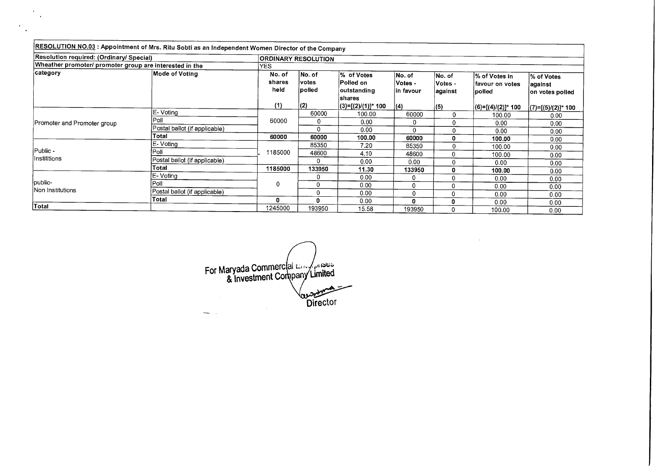| RESOLUTION NO.03: Appointment of Mrs. Ritu Sobti as an Independent Women Director of the Company |                               |                          |                            |                                                  |                                  |                              |                                              |                                          |
|--------------------------------------------------------------------------------------------------|-------------------------------|--------------------------|----------------------------|--------------------------------------------------|----------------------------------|------------------------------|----------------------------------------------|------------------------------------------|
| Resolution required: (Ordinary/ Special)                                                         |                               |                          | <b>ORDINARY RESOLUTION</b> |                                                  |                                  |                              |                                              |                                          |
| Wheather promoter/ promoter group are interested in the                                          |                               | YES.                     |                            |                                                  |                                  |                              |                                              |                                          |
| ∣category                                                                                        | Mode of Votina                | No. of<br>shares<br>held | No. of<br>votes<br> polled | % of Votes<br>Polled on<br>outstanding<br>shares | No. of<br> Votes -<br>lin favour | No. of<br>Votes -<br>against | l% of Votes in<br>lfavour on votes<br>polled | % of Votes<br>against<br>on votes polled |
|                                                                                                  |                               | (1)                      | (2)                        | $(3)=[(2)/(1)]^*$ 100                            | (4)                              | (5)                          | $ (6)=[(4)/(2)]^*$ 100                       | (7)=[(5)/(2)]* 100                       |
|                                                                                                  | <b>IE-Voting</b>              |                          | 60000                      | 100.00                                           | 60000                            | 0                            | 100.00                                       | 0.00                                     |
| Promoter and Promoter group                                                                      | Poll                          | 60000                    | 0                          | 0.00                                             |                                  |                              | 0.00                                         | 0.00                                     |
|                                                                                                  | Postal ballot (if applicable) |                          | 0                          | 0.00                                             | 0                                |                              | 0.00                                         | 0.00                                     |
|                                                                                                  | Total                         | 60000                    | 60000                      | 100.00                                           | 60000                            | 0                            | 100.00                                       | 0.00                                     |
|                                                                                                  | E- Voting                     |                          | 85350                      | 7.20                                             | 85350                            | 0                            | 100.00                                       | 0.00                                     |
| Public -                                                                                         | Poll                          | 1185000                  | 48600                      | 4.10                                             | 48600                            | 0                            | 100.00                                       | 0.00                                     |
| Instititions                                                                                     | Postal ballot (if applicable) |                          |                            | 0.00                                             | 0.00                             | 0                            | 0.00                                         | 0.00                                     |
|                                                                                                  | Total                         | 1185000                  | 133950                     | 11.30                                            | 133950                           | 0                            | 100.00                                       | 0.00                                     |
|                                                                                                  | E-Voting                      |                          |                            | 0.00                                             | $\Omega$                         | 0                            | 0.00                                         | 0.00                                     |
| public-                                                                                          | Poll                          | 0                        | 0                          | 0.00                                             | $\Omega$                         | 0                            | 0.00                                         | 0.00                                     |
| Non Institutions                                                                                 | Postal ballot (if applicable) |                          | $\Omega$                   | 0.00                                             | 0                                | $\mathbf 0$                  | 0.00                                         | 0.00                                     |
|                                                                                                  | Total                         | 0                        | 0                          | 0.00                                             | 0                                | 0                            | 0.00                                         | 0.00                                     |
| <b>Total</b>                                                                                     |                               | 1245000                  | 193950                     | 15.58                                            | 193950                           | 0                            | 100.00                                       | 0.00                                     |

 $\mathcal{L}_{\text{max}}$ 

For Maryada Commercial Enterprises **Director**  $\mathcal{A}$  $\overline{\phantom{a}}$ 

 $\sim$  $\mathbf{r}$ 

 $\epsilon$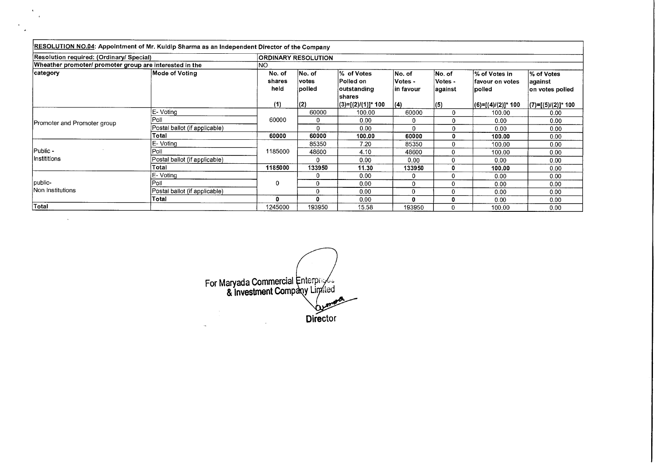| RESOLUTION NO.04: Appointment of Mr. Kuldip Sharma as an Independent Director of the Company |                               |                          |                            |                                         |                                 |                               |                                               |                                          |  |
|----------------------------------------------------------------------------------------------|-------------------------------|--------------------------|----------------------------|-----------------------------------------|---------------------------------|-------------------------------|-----------------------------------------------|------------------------------------------|--|
| Resolution required: (Ordinary/ Special)                                                     |                               |                          | <b>ORDINARY RESOLUTION</b> |                                         |                                 |                               |                                               |                                          |  |
| Wheather promoter/ promoter group are interested in the                                      |                               | INO.                     |                            |                                         |                                 |                               |                                               |                                          |  |
| ∣category                                                                                    | Mode of Voting                | No. of<br>shares<br>held | No. of<br> votes<br>polled | % of Votes<br> Polled on<br>outstanding | INo. of<br>Votes -<br>in favour | No. of<br>Votes -<br> against | l% of Votes in<br>lfavour on votes<br> polled | % of Votes<br>against<br>on votes polled |  |
|                                                                                              |                               | (1)                      | (2)                        | shares<br> (3)=[(2)/(1)]* 100           | (4)                             | (5)                           | (6)=[(4)/(2)]* 100                            | $ (7)=[(5)/(2)]^*$ 100                   |  |
|                                                                                              | E-Voting                      |                          | 60000                      | 100.00                                  | 60000                           | 0                             | 100.00                                        | 0.00                                     |  |
| Promoter and Promoter group                                                                  | Poll                          | 60000                    | $\Omega$                   | 0.00                                    | 0                               | $\Omega$                      | 0.00                                          | 0.00                                     |  |
|                                                                                              | Postal ballot (if applicable) |                          | 0                          | 0.00                                    | 0                               | n                             | 0.00                                          | 0.00                                     |  |
|                                                                                              | Total                         | 60000                    | 60000                      | 100.00                                  | 60000                           | 0                             | 100.00                                        | 0.00                                     |  |
|                                                                                              | E- Voting                     |                          | 85350                      | 7.20                                    | 85350                           | 0                             | 100.00                                        | 0.00                                     |  |
| Public -                                                                                     | Poll                          | 1185000                  | 48600                      | 4.10                                    | 48600                           | $\Omega$                      | 100.00                                        | 0.00                                     |  |
| Instititions                                                                                 | Postal ballot (if applicable) |                          | $\Omega$                   | 0.00                                    | 0.00                            | 0                             | 0.00                                          | 0.00                                     |  |
|                                                                                              | Total                         | 1185000                  | 133950                     | 11.30                                   | 133950                          | 0                             | 100.00                                        | 0.00                                     |  |
|                                                                                              | ⊦E- Voting                    |                          | 0                          | 0.00                                    | 0                               | $\Omega$                      | 0.00                                          | 0.00                                     |  |
| public-                                                                                      | Poll                          | 0                        | 0                          | 0.00                                    | 0                               | $\Omega$                      | 0.00                                          | 0.00                                     |  |
| Non Institutions                                                                             | Postal ballot (if applicable) |                          | $\Omega$                   | 0.00                                    | 0                               | 0                             | 0.00                                          | 0.00                                     |  |
|                                                                                              | Total                         | 0                        |                            | 0.00                                    | Ω                               | 0                             | 0.00                                          | 0.00                                     |  |
| Total                                                                                        |                               | 1245000                  | 193950                     | 15.58                                   | 193950                          | 0                             | 100,00                                        | 0.00                                     |  |

 $\mathcal{A}^{\mathcal{A}}$  $\rightarrow$ 

 $\bar{\mathcal{A}}$ 

 $\epsilon$ 

For Maryada Commercial & Investment Comp Director  $\overline{\phantom{a}}$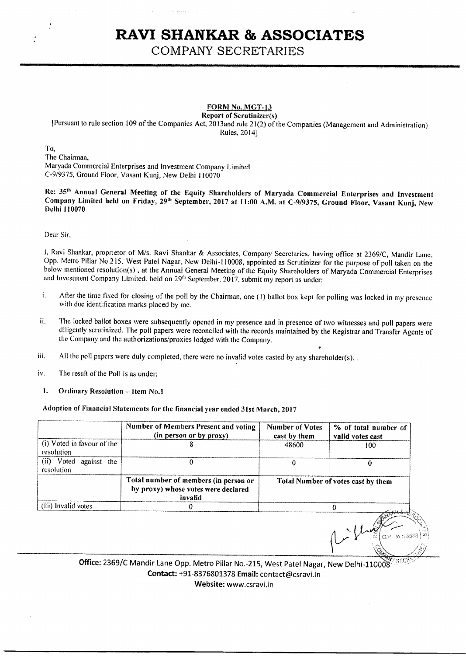## **RAW SHANKAR & ASSOCIATES**

COMPANY SECRETARIES

### **FORM No..MGT-13**

**Report of Scrutinizer(s)**  [Pursuant to rule section 109 of the Companies Act, 2013and rule 21(2) of the Companies (Management and Administration) Rules, 2014]

To,

The Chairman, Maryada Commercial Enterprises and Investment Company Limited C-9/9375, Ground Floor, Vasant Kunj, New Delhi 110070

Re: **35" Annual General Meeting of the Equity Shareholders of Maryada Commercial Enterprises and Investment**  Company Limited held on Friday, 29<sup>th</sup> September, 2017 at 11:00 A.M. at C-9/9375, Ground Floor, Vasant Kunj, New **Delhi 110070** 

Dear Sir,

1, Ravi Shankar, proprietor of M/s. Ravi Shankar & Associates, Company Secretaries, having office at 2369/C, Mandir Lane, Opp. Metro Pillar No.215, West Patel Nagar, New Delhi-110008, appointed as Scrutinizer for the purpose of poll taken on the below mentioned resolution(s), at the Annual General Meeting of the Equity Shareholders of Maryada Commercial Enterprises and Investment Company Limited. held on 29<sup>th</sup> September, 2017, submit my report as under:

- i. After the time fixed for closing of the poll by the Chairman, one (1) ballot box kept for polling was locked in my presence with due identification marks placed by me.
- ii. The locked ballot boxes were subsequently opened in my presence and in presence of two witnesses and poll papers were diligently scrutinized. The poll papers were reconciled with the records maintained by the Registrar and Transfer Agents of the Company and the authorizations/proxies lodged with the Company.
- iii. All the poll papers were duly completed, there were no invalid votes casted by any shareholder(s).
- iv. The result of the Poll is as under:
- **1. Ordinary Resolution Item No.1**

#### **Adoption of Financial Statements for the financial year ended 31st March, 2017**

|                                          | Number of Members Present and voting<br>(in person or by proxy)                         | <b>Number of Votes</b><br>cast by them | % of total number of<br>valid votes cast |
|------------------------------------------|-----------------------------------------------------------------------------------------|----------------------------------------|------------------------------------------|
| (i) Voted in favour of the<br>resolution |                                                                                         | 48600                                  | 100                                      |
| (ii) Voted<br>against the<br>resolution  | 0                                                                                       |                                        | 0                                        |
|                                          | Total number of members (in person or<br>by proxy) whose votes were declared<br>invalid |                                        | Total Number of votes cast by them       |
| (iii) Invalid votes                      |                                                                                         |                                        |                                          |
|                                          |                                                                                         |                                        |                                          |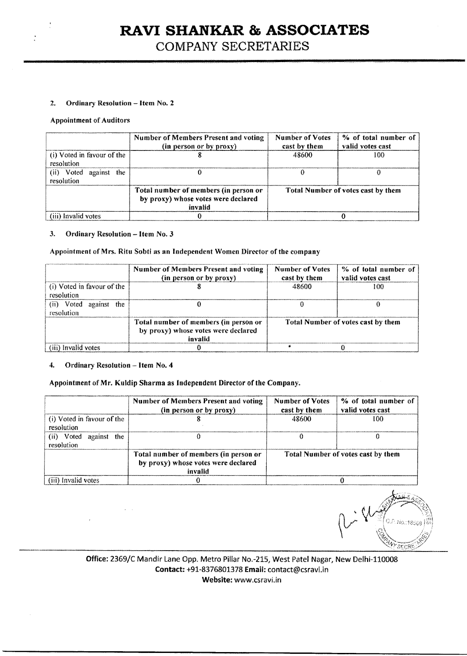# **RAVI SHANKAR & ASSOCIATES**

COMPANY SECRETARIES

#### 2. **Ordinary Resolution — Item No. 2**

#### **Appointment of Auditors**

|                                            | Number of Members Present and voting<br>(in person or by proxy)                         | Number of Votes<br>cast by them | % of total number of<br>valid votes cast  |  |  |  |
|--------------------------------------------|-----------------------------------------------------------------------------------------|---------------------------------|-------------------------------------------|--|--|--|
| (i) Voted in favour of the<br>resolution   |                                                                                         | 48600                           | 100                                       |  |  |  |
| (ii) Voted<br>against<br>the<br>resolution |                                                                                         |                                 |                                           |  |  |  |
|                                            | Total number of members (in person or<br>by proxy) whose votes were declared<br>invalid |                                 | <b>Total Number of votes cast by them</b> |  |  |  |
| (iii) Invalid votes                        |                                                                                         |                                 |                                           |  |  |  |

#### **3. Ordinary Resolution — Item No. 3**

#### **Appointment of Mrs. Rita Sobti as an Independent Women Director of the company**

|                                            | Number of Members Present and voting<br>(in person or by proxy)                         | <b>Number of Votes</b><br>cast by them | % of total number of<br>valid votes cast  |
|--------------------------------------------|-----------------------------------------------------------------------------------------|----------------------------------------|-------------------------------------------|
| (i) Voted in favour of the<br>resolution   |                                                                                         | 48600                                  | 100                                       |
| Voted<br>(ii)<br>against the<br>resolution |                                                                                         |                                        |                                           |
|                                            | Total number of members (in person or<br>by proxy) whose votes were declared<br>invalid |                                        | <b>Total Number of votes cast by them</b> |
| (iii) Invalid votes                        |                                                                                         |                                        |                                           |

#### **4. Ordinary Resolution — Item No.** 4

n.

#### **Appointment of Mr. Kuldip Sharma as Independent Director of the Company.**

|                                               | <b>Number of Members Present and voting</b><br>(in person or by proxy)                  | % of total number of<br><b>Number of Votes</b><br>valid votes cast<br>cast by them |                                    |  |  |  |
|-----------------------------------------------|-----------------------------------------------------------------------------------------|------------------------------------------------------------------------------------|------------------------------------|--|--|--|
| (i) Voted in favour of the<br>resolution      |                                                                                         | 48600                                                                              | 100                                |  |  |  |
| Voted<br>(ii)<br>the<br>against<br>resolution |                                                                                         |                                                                                    |                                    |  |  |  |
|                                               | Total number of members (in person or<br>by proxy) whose votes were declared<br>invalid |                                                                                    | Total Number of votes cast by them |  |  |  |
| (iii) Invalid votes                           |                                                                                         |                                                                                    |                                    |  |  |  |

O.P. No.: 18558 **SECRE**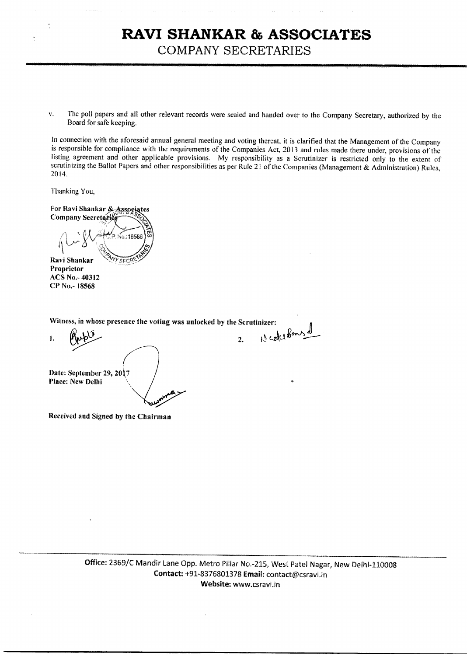### **RAVI SHANKAR & ASSOCIATES**  COMPANY SECRETARIES

v. The poll papers and all other relevant records were sealed and handed over to the Company Secretary, authorized by the Board for safe keeping.

In connection with the aforesaid annual general meeting and voting thereat, it is clarified that the Management of the Company is responsible for compliance with the requirements of the Companies Act, 2013 and rules made there under, provisions of the listing agreement and other applicable provisions. My responsibility as a Scrutinizer is restricted only to the extent of scrutinizing the Ballot Papers and other responsibilities as per Rule 21 of the Companies (Management & Administration) Rules, 2014,

Thanking You,

For Ravi Shankar & Associates Company Secretaries √e.:18588 Ravi Shankar

Proprietor ACS No.- 40312 CP No.- 18568

Witness, in whose presence the voting was unlocked by the Scrutinizer:

1.  $Appb$   $\frac{1}{2}$   $\frac{1}{2}$  reductions of b) Date: September 29, 2017 Place: New Delhi

Received and Signed by the Chairman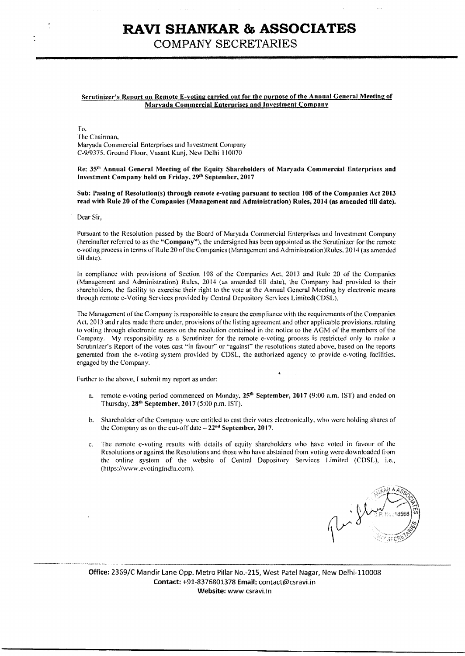### **RAVI SHANKAR & ASSOCIATES**  COMPANY SECRETARIES

#### Scrutinizer's Report on Remote E-voting carried out for the purpose of the Annual General Meeting of Marvada Commercial Enterprises and Investment Company

To, The Chairman, Maryada Commercial Enterprises and Investment Company C-9/9375. Ground Floor, Vasant Kunj, New Delhi 110070.

Re: 35<sup>th</sup> Annual General Meeting of the Equity Shareholders of Maryada Commercial Enterprises and Investment Company held on Friday, 29<sup>th</sup> September, 2017

Sub: Passing of Resolution(s) through remote e-voting pursuant to section 108 of the Companies Act 2013 read with Rule 20 of the Companies (Management and Administration) Rules, 2014 (as amended till date).

Dear Sir.

Pursuant to the Resolution passed by the Board of Maryada Commercial Enterprises and Investment Company (hereinafter referred to as the "Company"), the undersigned has been appointed as the Scrutinizer for the remote e-voting process in terms of Rule 20 of the Companies (Management and Administration)Rules, 2014 (as amended till date).

In compliance with provisions of Section 108 of the Companies Act, 2013 and Rule 20 of the Companies (Management and Administration) Rules, 2014 (as amended till date), the Company had provided to their shareholders, the facility to exercise their right to the vote at the Annual General Meeting by electronic means through remote e-Voting Services provided by Central Depository Services Limited(CDSL),

The Management of the Company is responsible to ensure the compliance with the requirements of the Companies Act. 2013 and rules made there under, provisions of the listing agreement and other applicable provisions, relating to voting through electronic means on the resolution contained in the notice to the AGM of the members of the Company. My responsibility as a Scrutinizer for the remote e-voting process is restricted only to make a Scrutinizer's Report of the votes cast "in favour" or "against" the resolutions stated above, based on the reports generated from the e-voting system provided by CDSL, the authorized agency to provide e-voting facilities, engaged by the Company,

Further to the above. I submit my report as under:

- a. remote e-voting period commenced on Monday, 25<sup>th</sup> September, 2017 (9:00 a.m. IST) and ended on Thursday, 28<sup>th</sup> September, 2017 (5:00 p.m. IST).
- b. Shareholder of the Company were entitled to cast their votes electronically, who were holding shares of the Company as on the cut-off date  $-22<sup>nd</sup>$  September, 2017.
- c. The remote c-voting results with details of equity shareholders who have voted in favour of the Resolutions or against the Resolutions and those who have abstained from voting were downloaded from the online system of the website of Central Depository Services Limited (CDSL), i.e., (https://www.evotingindia.com).

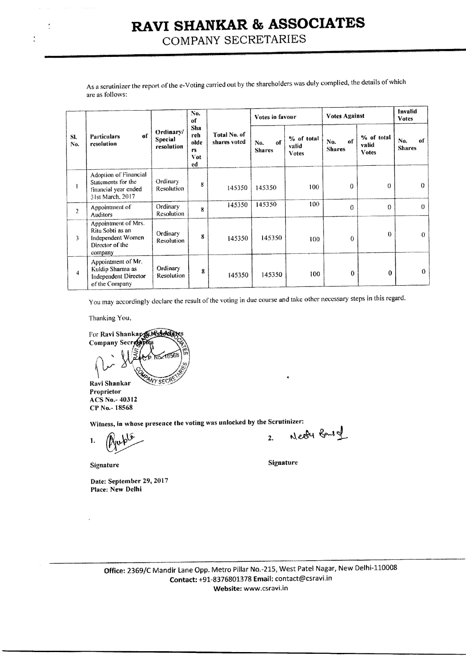# **RAW SHANKAR & ASSOCIATES**

COMPANY SECRETARIES

|                | As a scrutinizer the report of the e-Voting carried out by the shareholders was duly complied, the details of which<br>are as follows: |                                    |                                        |                              |                            |                              |                            |                                     |                            |  |  |  |
|----------------|----------------------------------------------------------------------------------------------------------------------------------------|------------------------------------|----------------------------------------|------------------------------|----------------------------|------------------------------|----------------------------|-------------------------------------|----------------------------|--|--|--|
|                |                                                                                                                                        |                                    | No.<br>of                              |                              | Votes in favour            |                              | <b>Votes Against</b>       |                                     | Invalid<br><b>Votes</b>    |  |  |  |
| SI.<br>No.     | of<br><b>Particulars</b><br>resolution                                                                                                 | Ordinary/<br>Special<br>resolution | Sha<br>reh<br>olde<br>rs.<br>Vot<br>ed | Total No. of<br>shares voted | of<br>No.<br><b>Shares</b> | % of total<br>valid<br>Votes | of<br>No.<br><b>Shares</b> | % of total<br>valid<br><b>Votes</b> | of<br>No.<br><b>Shares</b> |  |  |  |
| 1              | <b>Adoption of Financial</b><br>Statements for the<br>financial year ended<br>31st March, 2017                                         | Ordinary<br><b>Resolution</b>      | 8                                      | 145350                       | 145350                     | 100                          | $\Omega$                   | $\theta$                            | $\theta$                   |  |  |  |
| $\overline{2}$ | Appointment of<br><b>Auditors</b>                                                                                                      | Ordinary<br><b>Resolution</b>      | $\bf{R}$                               | 145350                       | 145350                     | 100                          | $\theta$                   | $\theta$                            | $\Omega$                   |  |  |  |
| 3              | Appointment of Mrs.<br>Ritu Sobti as an<br>Independent Women<br>Director of the<br>company                                             | Ordinary<br><b>Resolution</b>      | 8                                      | 145350                       | 145350                     | 100                          | 0                          | $\theta$                            | $\theta$                   |  |  |  |
| 4              | Appointment of Mr.<br>Kuldip Sharma as<br><b>Independent Director</b><br>of the Company                                                | Ordinary<br><b>Resolution</b>      | 8                                      | 145350                       | 145350                     | 100                          | 0                          | $\theta$                            | 0                          |  |  |  |

You may accordingly declare the result of the voting in due course and take other necessary steps in this regard.

Thanking You,

 $\ddot{\cdot}$ 

For Ravi Shankar NASSA Company Secrete) Vy sec Ravi Shankar

Proprietor ACS No.- 40312 CP No.- 18568

Witness, in whose presence the voting was unlocked by the Scrutinizer:

1.

Date: September 29, 2017 Place: New Delhi

2. Needy Bans of

Signature Signature Signature Signature Signature Signature Signature Signature Signature Signature Signature Signature Signature Signature Signature Signature Signature Signature Signature Signature Signature Signature Si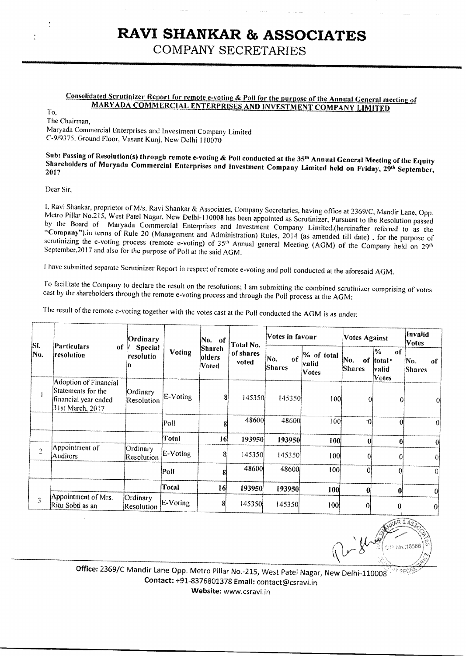# **RAVI SHANKAR & ASSOCIATES**

COMPANY SECRETARIES

### **Consolidated Scrutinizer Report for remote e-voting & Poll for the our ose of the Annual General meeting of MARYADA COMMERCIAL ENTERPRISES AND INVESTMENT COMPANY LIMITED**

To,

The Chairman,

Maryada Commercial Enterprises and Investment Company Limited C-9/9375, Ground Floor, Vasant Kunj, New Delhi 110070

## Sub: Passing of Resolution(s) through remote e-voting & Poll conducted at the 35<sup>th</sup> Annual General Meeting of the Equity Shareholders of Maryada Commercial Enterprises and Investment Company Limited held on Friday, 29<sup>th</sup> September, 2017

Dear Sir,

1, Ravi Shankar, proprietor of M/s. Ravi Shankar & Associates, Company Secretaries, having office at 2369/C, Mandir Lane, Opp. Metro Pillar No.215, West Patel Nagar, New Delhi-110008 has been appointed as Scrutinizer, Pursuant to the Resolution passed by the Board of Maryada Commercial Enterprises and Investment Company Limited.(hereinafter referred to as the "Company").in terms of Rule 20 (Management and Administration) Rules, 2014 (as amended till date), for the purpose of scrutinizing the e-voting process (remote e-voting) of 35<sup>th</sup> Annual general Meeting (AGM) of the Company held on 29<sup>th</sup> September, 2017 and also for the purpose of Poll at the said AGM.

I have submitted separate Scrutinizer Report in respect of remote e-voting and poll conducted at the aforesaid AGM.

To facilitate the Company to declare the result on the resolutions; I am submitting the combined scrutinizer comprising of votes cast by the shareholders through the remote e-voting process and through the Poll process at the AGM:

The result of the remote e-voting together with the votes cast at the Poll conducted the AGM is as under:

| SI.            | Particulars<br>оf                                                                       | Ordinary<br><b>Special</b><br>resolutio |                 | No. of<br>Shareh<br><b>Voting</b><br><b>olders</b><br>Voted | Total No.          | Votes in favour             |                                     | <b>Votes Against</b>        |                                                          | llnvalid<br><b>Votes</b>   |
|----------------|-----------------------------------------------------------------------------------------|-----------------------------------------|-----------------|-------------------------------------------------------------|--------------------|-----------------------------|-------------------------------------|-----------------------------|----------------------------------------------------------|----------------------------|
| No.            | resolution                                                                              |                                         |                 |                                                             | of shares<br>voted | ļΝo.<br>of<br><b>Shares</b> | % of total<br>valid<br><b>Votes</b> | ÍNo.<br>of<br><b>Shares</b> | $\frac{6}{6}$<br>of<br>total •<br> valid<br><b>Votes</b> | No.<br>Ωf<br><b>Shares</b> |
|                | Adoption of Financial<br>Statements for the<br>financial year ended<br>31st March, 2017 | Ordinary<br><b>Resolution</b>           | E-Voting        | 8                                                           | 145350             | 145350                      | 100 <sup>1</sup>                    | 01                          | 0.                                                       | $\alpha$                   |
|                |                                                                                         |                                         | Poll            | 81                                                          | 48600              | 48600                       | 100                                 | ി                           | $\Omega$                                                 |                            |
|                |                                                                                         |                                         | Total           | 16                                                          | 193950             | 193950                      | <b>100</b>                          | $\theta$                    | $\mathbf{0}$                                             | $\Omega$                   |
| $\overline{2}$ | Appointment of<br><b>Auditors</b>                                                       | Ordinary<br>Resolution                  | E-Voting        | 8                                                           | 145350             | 145350                      | 100                                 | Λ                           |                                                          |                            |
|                |                                                                                         |                                         | P <sub>ol</sub> |                                                             | 48600              | 48600                       | 100                                 | Ωl                          | Ωl                                                       | 01                         |
|                |                                                                                         |                                         | Total           | 16                                                          | 193950             | 193950                      | 100                                 | $\bf{0}$                    | 0                                                        |                            |
| 3              | Appointment of Mrs.<br>Ritu Sobti as an                                                 | Ordinary<br><b>Resolution</b>           | E-Voting        | 8                                                           | 145350             | 145350                      | 100                                 | 0                           | $\bf{0}$                                                 | 0                          |

Pright P. No.:18568

Office: 2369/C Mandir Lane Opp. Metro Pillar No.-215, West Patel Nagar, New Delhi-110008 **Contact: +91-8376801378 Email:** contact@csravi.in

Website: www.csravi.in